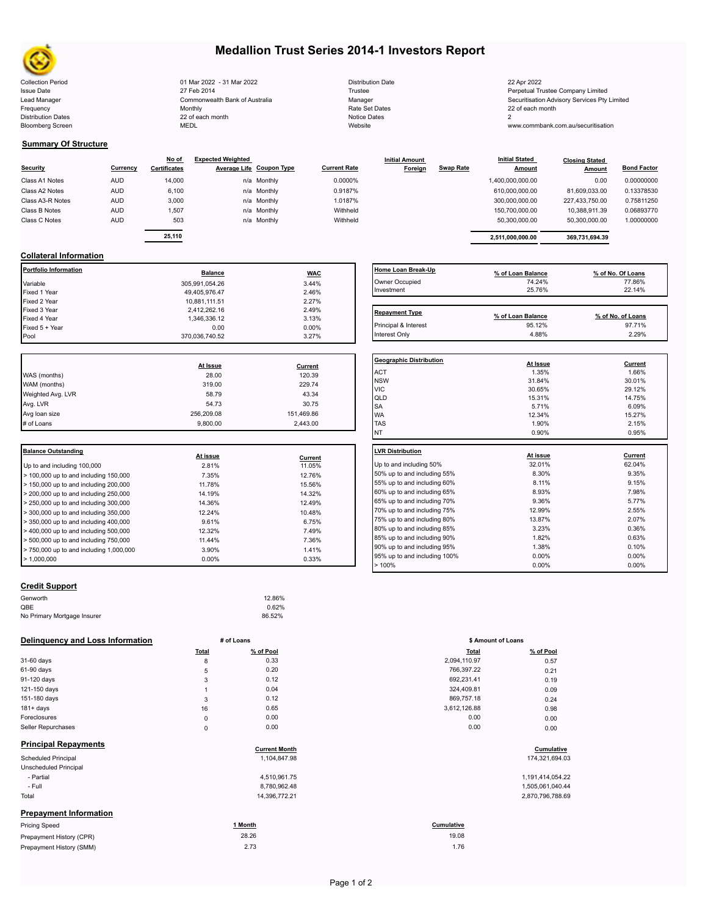

# **Medallion Trust Series 2014-1 Investors Report**

Collection Period 01 Mar 2022 - 31 Mar 2022 Distribution Date 22 Apr 2022 Issue Date 27 Feb 2014 27 Feb 2014 27 Feb 2014 27 Feb 2014 22 Feb 2014 28 Fustee Perpetual Trustee Company Limited Lead Manager **Commonwealth Bank of Australia** Manager Manager Securitisation Advisory Services Pty Limited Frequency and the Monthly Monthly Monthly Rate Set Dates Rate Set Dates 22 of each month Distribution Dates 22 of each month Notice Dates 22 of each month Notice Dates 2 Bloomberg Screen MEDL Website www.commbank.com.au/securitisation

| Distribution Date   |
|---------------------|
| Trustee             |
| Manager             |
| Rate Set Dates      |
| <b>Notice Dates</b> |
| Website             |

**Summary Of Structure**

|                  |            | No of               | <b>Expected Weighted</b>        |             |                     | <b>Initial Amount</b> |                  | <b>Initial Stated</b> | <b>Closing Stated</b> |                    |  |
|------------------|------------|---------------------|---------------------------------|-------------|---------------------|-----------------------|------------------|-----------------------|-----------------------|--------------------|--|
| <b>Security</b>  | Currency   | <b>Certificates</b> | <b>Average Life Coupon Type</b> |             | <b>Current Rate</b> | Foreign               | <b>Swap Rate</b> | <b>Amount</b>         | Amount                | <b>Bond Factor</b> |  |
| Class A1 Notes   | <b>AUD</b> | 14,000              |                                 | n/a Monthly | 0.0000%             |                       |                  | 1,400,000,000.00      | 0.00                  | 0.00000000         |  |
| Class A2 Notes   | <b>AUD</b> | 6,100               |                                 | n/a Monthly | 0.9187%             |                       |                  | 610.000.000.00        | 81.609.033.00         | 0.13378530         |  |
| Class A3-R Notes | <b>AUD</b> | 3,000               |                                 | n/a Monthly | 1.0187%             |                       |                  | 300.000.000.00        | 227.433.750.00        | 0.75811250         |  |
| Class B Notes    | <b>AUD</b> | 1,507               |                                 | n/a Monthly | Withheld            |                       |                  | 150.700.000.00        | 10,388,911.39         | 0.06893770         |  |
| Class C Notes    | <b>AUD</b> | 503                 |                                 | n/a Monthly | Withheld            |                       |                  | 50.300.000.00         | 50,300,000.00         | 1.00000000         |  |
|                  |            | <b>00.440</b>       |                                 |             |                     |                       |                  |                       |                       |                    |  |

| Currency | No of<br><b>Certificates</b> | <b>Expected Weighted</b> | Average Life Coupon Type | <b>Current Rate</b> | <b>Initial Amount</b><br>Foreign | <b>Swap Rate</b> | <b>Initial Stated</b><br><b>Amount</b> | <b>Closing Stated</b><br>Amount | <b>Bond Factor</b> |
|----------|------------------------------|--------------------------|--------------------------|---------------------|----------------------------------|------------------|----------------------------------------|---------------------------------|--------------------|
| AUD      | 14.000                       |                          | n/a Monthly              | 0.0000%             |                                  |                  | 1.400.000.000.00                       | 0.00                            | 0.00000000         |
| AUD      | 6,100                        |                          | n/a Monthly              | 0.9187%             |                                  |                  | 610.000.000.00                         | 81.609.033.00                   | 0.13378530         |
| AUD      | 3,000                        |                          | n/a Monthly              | 1.0187%             |                                  |                  | 300.000.000.00                         | 227.433.750.00                  | 0.75811250         |
| AUD.     | 1.507                        |                          | n/a Monthly              | Withheld            |                                  |                  | 150.700.000.00                         | 10.388.911.39                   | 0.06893770         |
| AUD      | 503                          |                          | n/a Monthly              | Withheld            |                                  |                  | 50.300.000.00                          | 50.300.000.00                   | 1.00000000         |
|          | 25.110                       |                          |                          |                     |                                  |                  | 2.511.000.000.00                       | 369.731.694.39                  |                    |

# **Collateral Information**

| Portfolio Information | <b>Balance</b> | <b>WAC</b> | Home Loan Break-Up    | % of Loan Balance | % of No. Of Loans |
|-----------------------|----------------|------------|-----------------------|-------------------|-------------------|
| Variable              | 305,991,054.26 | 3.44%      | Owner Occupied        | 74.24%            | 77.86%            |
| Fixed 1 Year          | 49,405,976.47  | 2.46%      | Investment            | 25.76%            | 22.14%            |
| Fixed 2 Year          | 10.881.111.51  | 2.27%      |                       |                   |                   |
| Fixed 3 Year          | 2.412.262.16   | 2.49%      | <b>Repayment Type</b> |                   |                   |
| Fixed 4 Year          | 1,346,336.12   | 3.13%      |                       | % of Loan Balance | % of No. of Loans |
| Fixed 5 + Year        | 0.00           | $0.00\%$   | Principal & Interest  | 95.12%            | 97.71%            |
| Pool                  | 370,036,740.52 | 3.27%      | Interest Only         | 4.88%             | 2.29%             |

|                   | At Issue   | Current    |  |
|-------------------|------------|------------|--|
| WAS (months)      | 28.00      | 120.39     |  |
| WAM (months)      | 319.00     | 229.74     |  |
| Weighted Avg. LVR | 58.79      | 43.34      |  |
| Avg. LVR          | 54.73      | 30.75      |  |
| Avg loan size     | 256.209.08 | 151,469.86 |  |
| # of Loans        | 9.800.00   | 2.443.00   |  |
|                   |            |            |  |

| Balance Outstanding                                       |          |         | LVR Distribution    |
|-----------------------------------------------------------|----------|---------|---------------------|
|                                                           | At issue | Current |                     |
| Up to and including 100,000                               | 2.81%    | 11.05%  | Up to and including |
| $\geq 100,000$ up to and including 150,000                | 7.35%    | 12.76%  | 50% up to and incl  |
| $\blacktriangleright$ 150,000 up to and including 200,000 | 11.78%   | 15.56%  | 55% up to and incl  |
| $>$ 200,000 up to and including 250,000                   | 14.19%   | 14.32%  | 60% up to and incl  |
| $> 250,000$ up to and including 300,000                   | 14.36%   | 12.49%  | 65% up to and incl  |
| $\geq$ 300,000 up to and including 350,000                | 12.24%   | 10.48%  | 70% up to and incl  |
| $\blacktriangleright$ 350,000 up to and including 400,000 | 9.61%    | 6.75%   | 75% up to and incl  |
| $\blacktriangleright$ 400,000 up to and including 500,000 | 12.32%   | 7.49%   | 80% up to and incl  |
| $\geq 500,000$ up to and including 750,000                | 11.44%   | 7.36%   | 85% up to and incl  |
| $> 750,000$ up to and including 1,000,000                 | 3.90%    | 1.41%   | 90% up to and incl  |
| $\blacktriangleright$ 1.000.000                           | $0.00\%$ | 0.33%   | 95% up to and incl  |
|                                                           |          |         |                     |

# **Home Loan Break-Up**<br> **9% of Loan Balance**<br> **14.24% 77.86%**<br> **12.14%**<br> **12.14%**<br> **12.14%** Owner Occupied 74.24% 77.86% 77.86% 77.86%  $Investment$  25.76% 22.14% **Repayment Type Repayment Type % of Loan Balance % of No. of Loans**

| <b>Geographic Distribution</b> | At Issue | Current |
|--------------------------------|----------|---------|
| <b>ACT</b>                     | 1.35%    | 1.66%   |
| <b>NSW</b>                     | 31.84%   | 30.01%  |
| <b>VIC</b>                     | 30.65%   | 29.12%  |
| QLD                            | 15.31%   | 14.75%  |
| <b>SA</b>                      | 5.71%    | 6.09%   |
| <b>WA</b>                      | 12.34%   | 15.27%  |
| <b>TAS</b>                     | 1.90%    | 2.15%   |
| NT                             | 0.90%    | 0.95%   |
|                                |          |         |
| <b>LVR Distribution</b>        | At issue | Current |
| Up to and including 50%        | 32.01%   | 62.04%  |
| 50% up to and including 55%    | 8.30%    | 9.35%   |
| 55% up to and including 60%    | 8.11%    | 9.15%   |
| 60% up to and including 65%    | 8.93%    | 7.98%   |
| 65% up to and including 70%    | 9.36%    | 5.77%   |
| 70% up to and including 75%    | 12.99%   | 2.55%   |
| 75% up to and including 80%    | 13.87%   | 2.07%   |
| 80% up to and including 85%    | 3.23%    | 0.36%   |
| 85% up to and including 90%    | 1.82%    | 0.63%   |
| 90% up to and including 95%    | 1.38%    | 0.10%   |
| 95% up to and including 100%   | 0.00%    | 0.00%   |
| >100%                          | 0.00%    | 0.00%   |

## **Credit Support**

| Genworth                    | 12.86% |  |
|-----------------------------|--------|--|
| QBE                         | 0.62%  |  |
| No Primary Mortgage Insurer | 86.52% |  |
|                             |        |  |

## **Delinquency and Loss Information # of Loans**

|                               | Total       | % of Pool            | <b>Total</b> | % of Pool        |
|-------------------------------|-------------|----------------------|--------------|------------------|
| 31-60 days                    | 8           | 0.33                 | 2,094,110.97 | 0.57             |
| 61-90 days                    | 5           | 0.20                 | 766,397.22   | 0.21             |
| 91-120 days                   | 3           | 0.12                 | 692,231.41   | 0.19             |
| 121-150 days                  |             | 0.04                 | 324,409.81   | 0.09             |
| 151-180 days                  | 3           | 0.12                 | 869,757.18   | 0.24             |
| $181 + days$                  | 16          | 0.65                 | 3,612,126.88 | 0.98             |
| Foreclosures                  | $\mathsf 0$ | 0.00                 | 0.00         | 0.00             |
| Seller Repurchases            | $\mathbf 0$ | 0.00                 | 0.00         | 0.00             |
| <b>Principal Repayments</b>   |             | <b>Current Month</b> |              | Cumulative       |
| <b>Scheduled Principal</b>    |             | 1,104,847.98         |              | 174,321,694.03   |
| Unscheduled Principal         |             |                      |              |                  |
| - Partial                     |             | 4,510,961.75         |              | 1,191,414,054.22 |
| - Full                        |             | 8,780,962.48         |              | 1,505,061,040.44 |
| Total                         |             | 14,396,772.21        |              | 2,870,796,788.69 |
| <b>Prepayment Information</b> |             |                      |              |                  |
| <b>Pricing Speed</b>          |             | 1 Month              | Cumulative   |                  |
| Prepayment History (CPR)      |             | 28.26                | 19.08        |                  |
| Prepayment History (SMM)      |             | 2.73                 | 1.76         |                  |

|       | # of Loans           | \$ Amount of Loans |                   |
|-------|----------------------|--------------------|-------------------|
| Total | % of Pool            | <b>Total</b>       | % of Pool         |
| 8     | 0.33                 | 2,094,110.97       | 0.57              |
| 5     | 0.20                 | 766,397.22         | 0.21              |
| 3     | 0.12                 | 692,231.41         | 0.19              |
| 1     | 0.04                 | 324,409.81         | 0.09              |
| 3     | 0.12                 | 869,757.18         | 0.24              |
| 16    | 0.65                 | 3,612,126.88       | 0.98              |
| 0     | 0.00                 | 0.00               | 0.00              |
| 0     | 0.00                 | 0.00               | 0.00              |
|       | <b>Current Month</b> |                    | <b>Cumulative</b> |